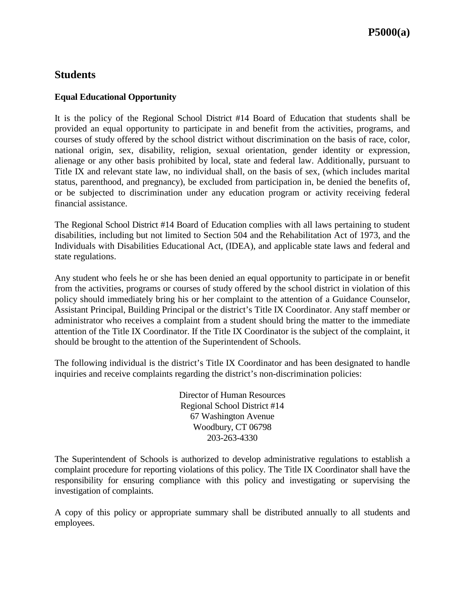## **Students**

## **Equal Educational Opportunity**

It is the policy of the Regional School District #14 Board of Education that students shall be provided an equal opportunity to participate in and benefit from the activities, programs, and courses of study offered by the school district without discrimination on the basis of race, color, national origin, sex, disability, religion, sexual orientation, gender identity or expression, alienage or any other basis prohibited by local, state and federal law. Additionally, pursuant to Title IX and relevant state law, no individual shall, on the basis of sex, (which includes marital status, parenthood, and pregnancy), be excluded from participation in, be denied the benefits of, or be subjected to discrimination under any education program or activity receiving federal financial assistance.

The Regional School District #14 Board of Education complies with all laws pertaining to student disabilities, including but not limited to Section 504 and the Rehabilitation Act of 1973, and the Individuals with Disabilities Educational Act, (IDEA), and applicable state laws and federal and state regulations.

Any student who feels he or she has been denied an equal opportunity to participate in or benefit from the activities, programs or courses of study offered by the school district in violation of this policy should immediately bring his or her complaint to the attention of a Guidance Counselor, Assistant Principal, Building Principal or the district's Title IX Coordinator. Any staff member or administrator who receives a complaint from a student should bring the matter to the immediate attention of the Title IX Coordinator. If the Title IX Coordinator is the subject of the complaint, it should be brought to the attention of the Superintendent of Schools.

The following individual is the district's Title IX Coordinator and has been designated to handle inquiries and receive complaints regarding the district's non-discrimination policies:

> Director of Human Resources Regional School District #14 67 Washington Avenue Woodbury, CT 06798 203-263-4330

The Superintendent of Schools is authorized to develop administrative regulations to establish a complaint procedure for reporting violations of this policy. The Title IX Coordinator shall have the responsibility for ensuring compliance with this policy and investigating or supervising the investigation of complaints.

A copy of this policy or appropriate summary shall be distributed annually to all students and employees.